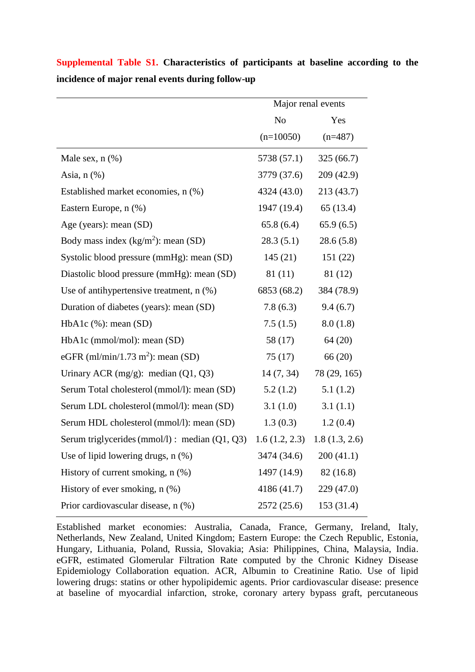|                                                  | Major renal events |               |
|--------------------------------------------------|--------------------|---------------|
|                                                  | N <sub>o</sub>     | Yes           |
|                                                  | $(n=10050)$        | $(n=487)$     |
| Male sex, $n$ $(\%)$                             | 5738 (57.1)        | 325(66.7)     |
| Asia, $n$ $(\%)$                                 | 3779 (37.6)        | 209 (42.9)    |
| Established market economies, n (%)              | 4324 (43.0)        | 213 (43.7)    |
| Eastern Europe, n (%)                            | 1947 (19.4)        | 65(13.4)      |
| Age (years): mean (SD)                           | 65.8(6.4)          | 65.9(6.5)     |
| Body mass index $(kg/m^2)$ : mean (SD)           | 28.3(5.1)          | 28.6(5.8)     |
| Systolic blood pressure (mmHg): mean (SD)        | 145(21)            | 151 (22)      |
| Diastolic blood pressure (mmHg): mean (SD)       | 81 (11)            | 81 (12)       |
| Use of antihypertensive treatment, $n$ $(\%)$    | 6853 (68.2)        | 384 (78.9)    |
| Duration of diabetes (years): mean (SD)          | 7.8(6.3)           | 9.4(6.7)      |
| $HbA1c$ (%): mean (SD)                           | 7.5(1.5)           | 8.0(1.8)      |
| HbA1c (mmol/mol): mean (SD)                      | 58 (17)            | 64 (20)       |
| eGFR (ml/min/1.73 m <sup>2</sup> ): mean (SD)    | 75(17)             | 66 (20)       |
| Urinary ACR $(mg/g)$ : median $(Q1, Q3)$         | 14(7, 34)          | 78 (29, 165)  |
| Serum Total cholesterol (mmol/l): mean (SD)      | 5.2(1.2)           | 5.1(1.2)      |
| Serum LDL cholesterol (mmol/l): mean (SD)        | 3.1(1.0)           | 3.1(1.1)      |
| Serum HDL cholesterol (mmol/l): mean (SD)        | 1.3(0.3)           | 1.2(0.4)      |
| Serum triglycerides (mmol/l) : median $(Q1, Q3)$ | 1.6(1.2, 2.3)      | 1.8(1.3, 2.6) |
| Use of lipid lowering drugs, $n$ $(\%)$          | 3474 (34.6)        | 200(41.1)     |
| History of current smoking, n (%)                | 1497 (14.9)        | 82(16.8)      |
| History of ever smoking, $n$ $(\%)$              | 4186 (41.7)        | 229 (47.0)    |
| Prior cardiovascular disease, n (%)              | 2572 (25.6)        | 153 (31.4)    |

**Supplemental Table S1. Characteristics of participants at baseline according to the incidence of major renal events during follow-up**

Established market economies: Australia, Canada, France, Germany, Ireland, Italy, Netherlands, New Zealand, United Kingdom; Eastern Europe: the Czech Republic, Estonia, Hungary, Lithuania, Poland, Russia, Slovakia; Asia: Philippines, China, Malaysia, India. eGFR, estimated Glomerular Filtration Rate computed by the Chronic Kidney Disease Epidemiology Collaboration equation. ACR, Albumin to Creatinine Ratio. Use of lipid lowering drugs: statins or other hypolipidemic agents. Prior cardiovascular disease: presence at baseline of myocardial infarction, stroke, coronary artery bypass graft, percutaneous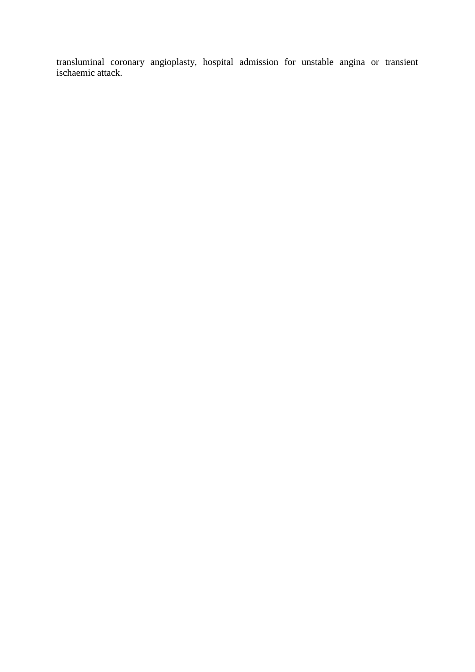transluminal coronary angioplasty, hospital admission for unstable angina or transient ischaemic attack.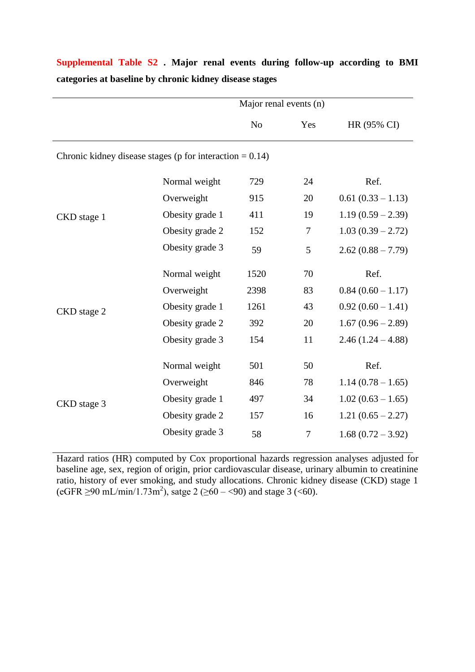|                                                             |                        | Major renal events (n) |                |                     |  |  |
|-------------------------------------------------------------|------------------------|------------------------|----------------|---------------------|--|--|
|                                                             |                        | N <sub>o</sub>         | Yes            | HR (95% CI)         |  |  |
| Chronic kidney disease stages ( $p$ for interaction = 0.14) |                        |                        |                |                     |  |  |
|                                                             | Normal weight          | 729                    | 24             | Ref.                |  |  |
|                                                             | Overweight<br>915      |                        | 20             | $0.61(0.33 - 1.13)$ |  |  |
| CKD stage 1                                                 | Obesity grade 1<br>411 |                        | 19             | $1.19(0.59 - 2.39)$ |  |  |
|                                                             | Obesity grade 2        | 152                    | 7              | $1.03(0.39 - 2.72)$ |  |  |
|                                                             | Obesity grade 3        | 59                     | 5              | $2.62(0.88 - 7.79)$ |  |  |
|                                                             | Normal weight          | 1520                   | 70             | Ref.                |  |  |
|                                                             | Overweight             | 2398                   | 83             | $0.84(0.60 - 1.17)$ |  |  |
| CKD stage 2                                                 | Obesity grade 1        | 1261                   | 43             | $0.92(0.60 - 1.41)$ |  |  |
|                                                             | Obesity grade 2        | 392                    | 20             | $1.67(0.96 - 2.89)$ |  |  |
|                                                             | Obesity grade 3        | 154                    | 11             | $2.46(1.24 - 4.88)$ |  |  |
|                                                             | Normal weight          | 501                    | 50             | Ref.                |  |  |
|                                                             | Overweight             | 846                    | 78             | $1.14(0.78-1.65)$   |  |  |
| CKD stage 3                                                 | Obesity grade 1        | 497                    | 34             | $1.02(0.63 - 1.65)$ |  |  |
|                                                             | Obesity grade 2        | 157                    | 16             | $1.21(0.65 - 2.27)$ |  |  |
|                                                             | Obesity grade 3        | 58                     | $\overline{7}$ | $1.68(0.72 - 3.92)$ |  |  |

## **Supplemental Table S2 . Major renal events during follow-up according to BMI categories at baseline by chronic kidney disease stages**

Hazard ratios (HR) computed by Cox proportional hazards regression analyses adjusted for baseline age, sex, region of origin, prior cardiovascular disease, urinary albumin to creatinine ratio, history of ever smoking, and study allocations. Chronic kidney disease (CKD) stage 1  $(eGFR \ge 90 \text{ mL/min}/1.73 \text{m}^2)$ , satge  $2 (\ge 60 - \le 90)$  and stage  $3 (\le 60)$ .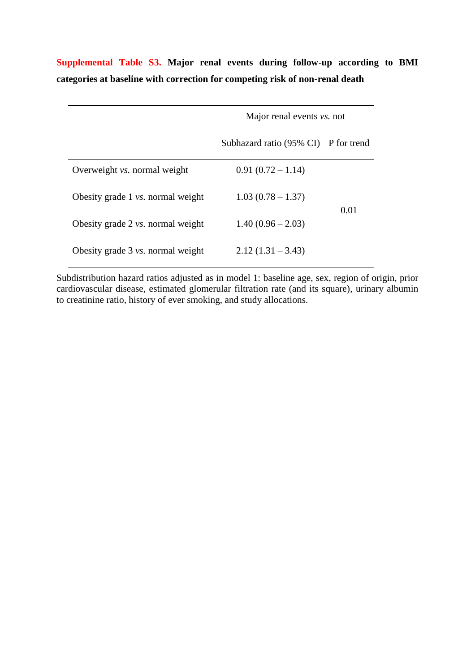|                                             | Major renal events <i>vs.</i> not    |      |
|---------------------------------------------|--------------------------------------|------|
|                                             | Subhazard ratio (95% CI) P for trend |      |
| Overweight <i>vs.</i> normal weight         | $0.91(0.72-1.14)$                    |      |
| Obesity grade 1 <i>vs.</i> normal weight    | $1.03(0.78-1.37)$                    |      |
| Obesity grade $2 \text{ vs. normal weight}$ | $1.40(0.96-2.03)$                    | 0.01 |
| Obesity grade 3 <i>vs.</i> normal weight    | $2.12(1.31 - 3.43)$                  |      |

**Supplemental Table S3. Major renal events during follow-up according to BMI categories at baseline with correction for competing risk of non-renal death** 

Subdistribution hazard ratios adjusted as in model 1: baseline age, sex, region of origin, prior cardiovascular disease, estimated glomerular filtration rate (and its square), urinary albumin to creatinine ratio, history of ever smoking, and study allocations.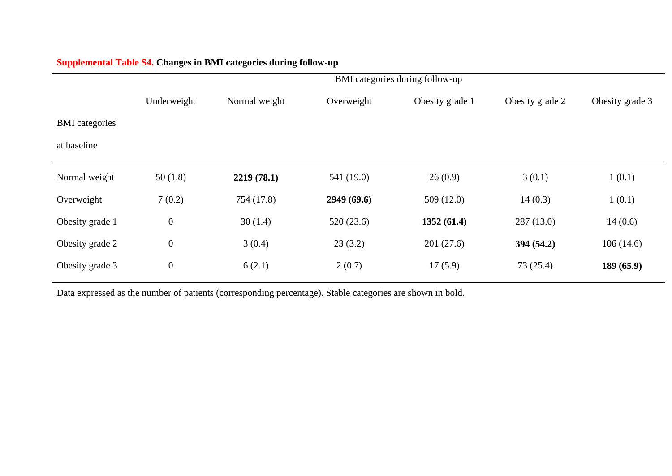|                       | BMI categories during follow-up |               |            |                 |                 |                 |
|-----------------------|---------------------------------|---------------|------------|-----------------|-----------------|-----------------|
|                       | Underweight                     | Normal weight | Overweight | Obesity grade 1 | Obesity grade 2 | Obesity grade 3 |
| <b>BMI</b> categories |                                 |               |            |                 |                 |                 |
| at baseline           |                                 |               |            |                 |                 |                 |
| Normal weight         | 50(1.8)                         | 2219(78.1)    | 541 (19.0) | 26(0.9)         | 3(0.1)          | 1(0.1)          |
| Overweight            | 7(0.2)                          | 754 (17.8)    | 2949(69.6) | 509(12.0)       | 14(0.3)         | 1(0.1)          |
| Obesity grade 1       | $\boldsymbol{0}$                | 30(1.4)       | 520(23.6)  | 1352(61.4)      | 287(13.0)       | 14(0.6)         |
| Obesity grade 2       | $\boldsymbol{0}$                | 3(0.4)        | 23(3.2)    | 201(27.6)       | 394(54.2)       | 106(14.6)       |
| Obesity grade 3       | $\boldsymbol{0}$                | 6(2.1)        | 2(0.7)     | 17(5.9)         | 73(25.4)        | 189(65.9)       |

## **Supplemental Table S4. Changes in BMI categories during follow-up**

Data expressed as the number of patients (corresponding percentage). Stable categories are shown in bold.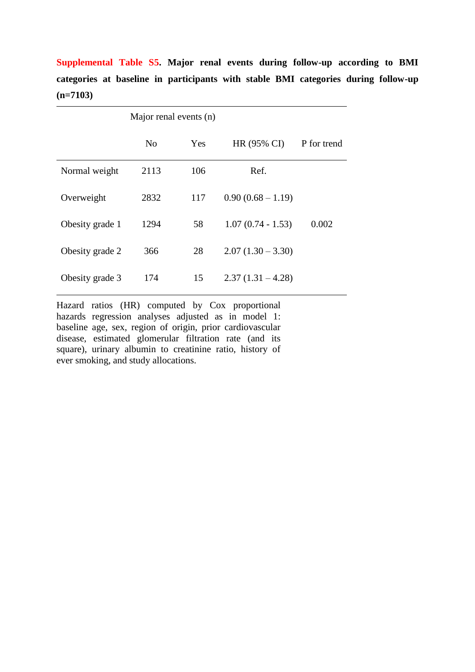**Supplemental Table S5. Major renal events during follow-up according to BMI categories at baseline in participants with stable BMI categories during follow-up (n=7103)**

|                 | Major renal events (n) |     |                     |             |
|-----------------|------------------------|-----|---------------------|-------------|
|                 | N <sub>0</sub>         | Yes | HR (95% CI)         | P for trend |
| Normal weight   | 2113                   | 106 | Ref.                |             |
| Overweight      | 2832                   | 117 | $0.90(0.68 - 1.19)$ |             |
| Obesity grade 1 | 1294                   | 58  | $1.07(0.74 - 1.53)$ | 0.002       |
| Obesity grade 2 | 366                    | 28  | $2.07(1.30 - 3.30)$ |             |
| Obesity grade 3 | 174                    | 15  | $2.37(1.31 - 4.28)$ |             |

Hazard ratios (HR) computed by Cox proportional hazards regression analyses adjusted as in model 1: baseline age, sex, region of origin, prior cardiovascular disease, estimated glomerular filtration rate (and its square), urinary albumin to creatinine ratio, history of ever smoking, and study allocations.